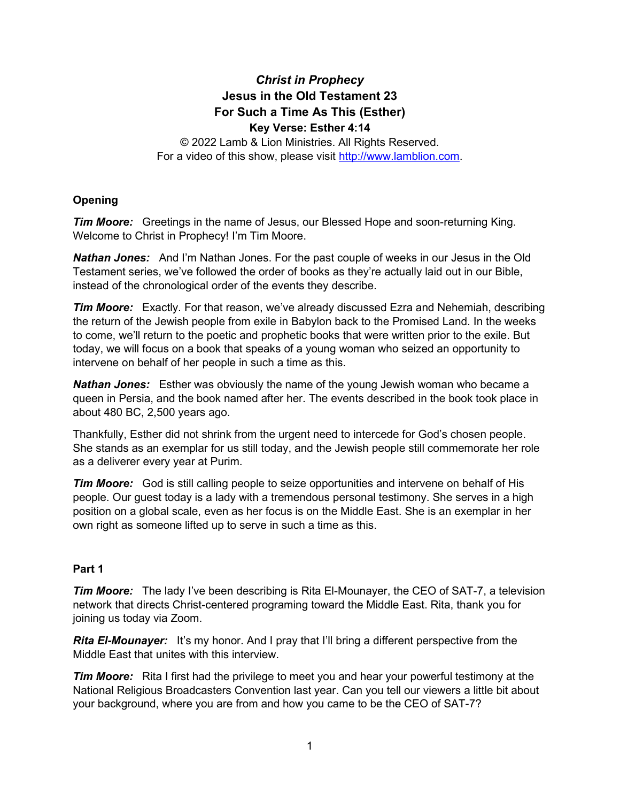# *Christ in Prophecy* **Jesus in the Old Testament 23 For Such a Time As This (Esther) Key Verse: Esther 4:14**

© 2022 Lamb & Lion Ministries. All Rights Reserved. For a video of this show, please visit [http://www.lamblion.com.](http://www.lamblion.com/)

# **Opening**

*Tim Moore:* Greetings in the name of Jesus, our Blessed Hope and soon-returning King. Welcome to Christ in Prophecy! I'm Tim Moore.

*Nathan Jones:* And I'm Nathan Jones. For the past couple of weeks in our Jesus in the Old Testament series, we've followed the order of books as they're actually laid out in our Bible, instead of the chronological order of the events they describe.

*Tim Moore:* Exactly. For that reason, we've already discussed Ezra and Nehemiah, describing the return of the Jewish people from exile in Babylon back to the Promised Land. In the weeks to come, we'll return to the poetic and prophetic books that were written prior to the exile. But today, we will focus on a book that speaks of a young woman who seized an opportunity to intervene on behalf of her people in such a time as this.

*Nathan Jones:* Esther was obviously the name of the young Jewish woman who became a queen in Persia, and the book named after her. The events described in the book took place in about 480 BC, 2,500 years ago.

Thankfully, Esther did not shrink from the urgent need to intercede for God's chosen people. She stands as an exemplar for us still today, and the Jewish people still commemorate her role as a deliverer every year at Purim.

*Tim Moore:* God is still calling people to seize opportunities and intervene on behalf of His people. Our guest today is a lady with a tremendous personal testimony. She serves in a high position on a global scale, even as her focus is on the Middle East. She is an exemplar in her own right as someone lifted up to serve in such a time as this.

### **Part 1**

*Tim Moore:* The lady I've been describing is Rita El-Mounayer, the CEO of SAT-7, a television network that directs Christ-centered programing toward the Middle East. Rita, thank you for joining us today via Zoom.

**Rita El-Mounayer:** It's my honor. And I pray that I'll bring a different perspective from the Middle East that unites with this interview.

*Tim Moore:* Rita I first had the privilege to meet you and hear your powerful testimony at the National Religious Broadcasters Convention last year. Can you tell our viewers a little bit about your background, where you are from and how you came to be the CEO of SAT-7?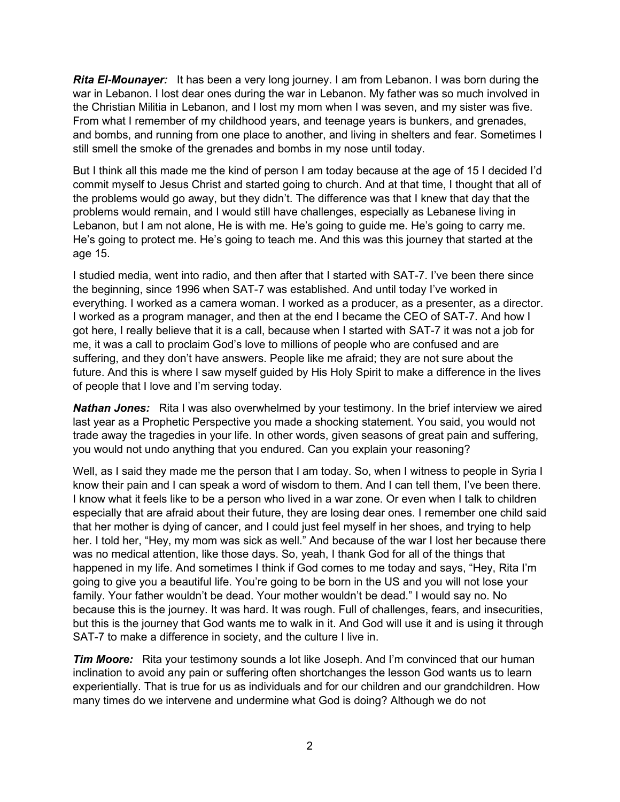*Rita El-Mounayer:* It has been a very long journey. I am from Lebanon. I was born during the war in Lebanon. I lost dear ones during the war in Lebanon. My father was so much involved in the Christian Militia in Lebanon, and I lost my mom when I was seven, and my sister was five. From what I remember of my childhood years, and teenage years is bunkers, and grenades, and bombs, and running from one place to another, and living in shelters and fear. Sometimes I still smell the smoke of the grenades and bombs in my nose until today.

But I think all this made me the kind of person I am today because at the age of 15 I decided I'd commit myself to Jesus Christ and started going to church. And at that time, I thought that all of the problems would go away, but they didn't. The difference was that I knew that day that the problems would remain, and I would still have challenges, especially as Lebanese living in Lebanon, but I am not alone, He is with me. He's going to guide me. He's going to carry me. He's going to protect me. He's going to teach me. And this was this journey that started at the age 15.

I studied media, went into radio, and then after that I started with SAT-7. I've been there since the beginning, since 1996 when SAT-7 was established. And until today I've worked in everything. I worked as a camera woman. I worked as a producer, as a presenter, as a director. I worked as a program manager, and then at the end I became the CEO of SAT-7. And how I got here, I really believe that it is a call, because when I started with SAT-7 it was not a job for me, it was a call to proclaim God's love to millions of people who are confused and are suffering, and they don't have answers. People like me afraid; they are not sure about the future. And this is where I saw myself guided by His Holy Spirit to make a difference in the lives of people that I love and I'm serving today.

*Nathan Jones:* Rita I was also overwhelmed by your testimony. In the brief interview we aired last year as a Prophetic Perspective you made a shocking statement. You said, you would not trade away the tragedies in your life. In other words, given seasons of great pain and suffering, you would not undo anything that you endured. Can you explain your reasoning?

Well, as I said they made me the person that I am today. So, when I witness to people in Syria I know their pain and I can speak a word of wisdom to them. And I can tell them, I've been there. I know what it feels like to be a person who lived in a war zone. Or even when I talk to children especially that are afraid about their future, they are losing dear ones. I remember one child said that her mother is dying of cancer, and I could just feel myself in her shoes, and trying to help her. I told her, "Hey, my mom was sick as well." And because of the war I lost her because there was no medical attention, like those days. So, yeah, I thank God for all of the things that happened in my life. And sometimes I think if God comes to me today and says, "Hey, Rita I'm going to give you a beautiful life. You're going to be born in the US and you will not lose your family. Your father wouldn't be dead. Your mother wouldn't be dead." I would say no. No because this is the journey. It was hard. It was rough. Full of challenges, fears, and insecurities, but this is the journey that God wants me to walk in it. And God will use it and is using it through SAT-7 to make a difference in society, and the culture I live in.

*Tim Moore:* Rita your testimony sounds a lot like Joseph. And I'm convinced that our human inclination to avoid any pain or suffering often shortchanges the lesson God wants us to learn experientially. That is true for us as individuals and for our children and our grandchildren. How many times do we intervene and undermine what God is doing? Although we do not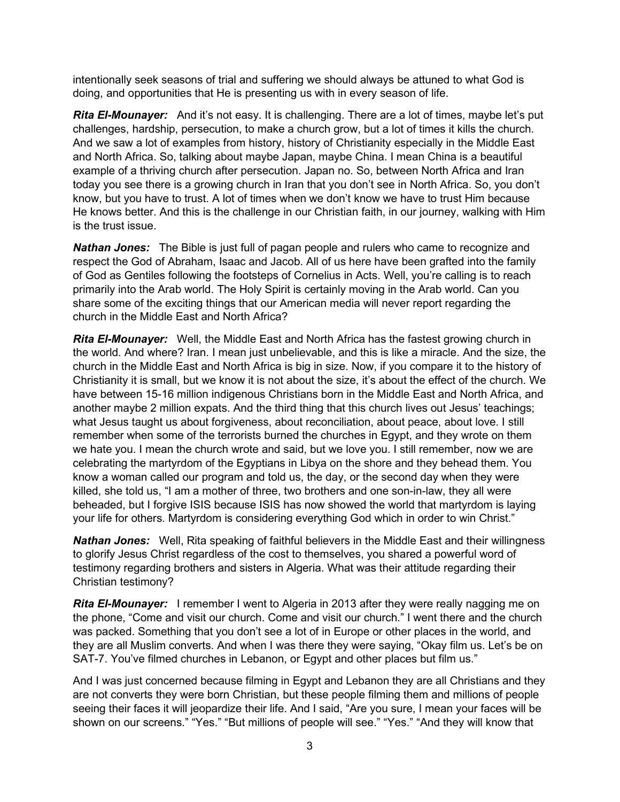intentionally seek seasons of trial and suffering we should always be attuned to what God is doing, and opportunities that He is presenting us with in every season of life.

*Rita El-Mounayer:* And it's not easy. It is challenging. There are a lot of times, maybe let's put challenges, hardship, persecution, to make a church grow, but a lot of times it kills the church. And we saw a lot of examples from history, history of Christianity especially in the Middle East and North Africa. So, talking about maybe Japan, maybe China. I mean China is a beautiful example of a thriving church after persecution. Japan no. So, between North Africa and Iran today you see there is a growing church in Iran that you don't see in North Africa. So, you don't know, but you have to trust. A lot of times when we don't know we have to trust Him because He knows better. And this is the challenge in our Christian faith, in our journey, walking with Him is the trust issue.

*Nathan Jones:* The Bible is just full of pagan people and rulers who came to recognize and respect the God of Abraham, Isaac and Jacob. All of us here have been grafted into the family of God as Gentiles following the footsteps of Cornelius in Acts. Well, you're calling is to reach primarily into the Arab world. The Holy Spirit is certainly moving in the Arab world. Can you share some of the exciting things that our American media will never report regarding the church in the Middle East and North Africa?

*Rita El-Mounayer:* Well, the Middle East and North Africa has the fastest growing church in the world. And where? Iran. I mean just unbelievable, and this is like a miracle. And the size, the church in the Middle East and North Africa is big in size. Now, if you compare it to the history of Christianity it is small, but we know it is not about the size, it's about the effect of the church. We have between 15-16 million indigenous Christians born in the Middle East and North Africa, and another maybe 2 million expats. And the third thing that this church lives out Jesus' teachings; what Jesus taught us about forgiveness, about reconciliation, about peace, about love. I still remember when some of the terrorists burned the churches in Egypt, and they wrote on them we hate you. I mean the church wrote and said, but we love you. I still remember, now we are celebrating the martyrdom of the Egyptians in Libya on the shore and they behead them. You know a woman called our program and told us, the day, or the second day when they were killed, she told us, "I am a mother of three, two brothers and one son-in-law, they all were beheaded, but I forgive ISIS because ISIS has now showed the world that martyrdom is laying your life for others. Martyrdom is considering everything God which in order to win Christ."

*Nathan Jones:* Well, Rita speaking of faithful believers in the Middle East and their willingness to glorify Jesus Christ regardless of the cost to themselves, you shared a powerful word of testimony regarding brothers and sisters in Algeria. What was their attitude regarding their Christian testimony?

**Rita El-Mounayer:** I remember I went to Algeria in 2013 after they were really nagging me on the phone, "Come and visit our church. Come and visit our church." I went there and the church was packed. Something that you don't see a lot of in Europe or other places in the world, and they are all Muslim converts. And when I was there they were saying, "Okay film us. Let's be on SAT-7. You've filmed churches in Lebanon, or Egypt and other places but film us."

And I was just concerned because filming in Egypt and Lebanon they are all Christians and they are not converts they were born Christian, but these people filming them and millions of people seeing their faces it will jeopardize their life. And I said, "Are you sure, I mean your faces will be shown on our screens." "Yes." "But millions of people will see." "Yes." "And they will know that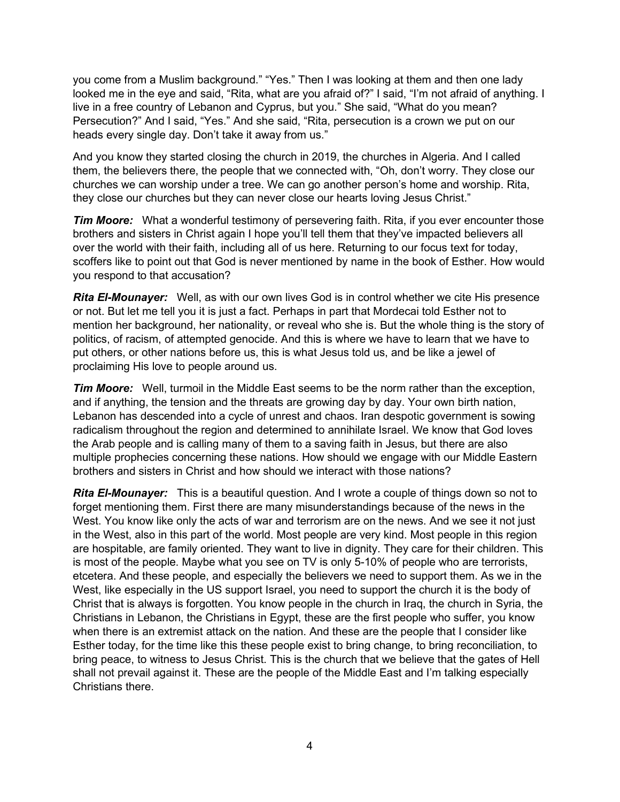you come from a Muslim background." "Yes." Then I was looking at them and then one lady looked me in the eye and said, "Rita, what are you afraid of?" I said, "I'm not afraid of anything. I live in a free country of Lebanon and Cyprus, but you." She said, "What do you mean? Persecution?" And I said, "Yes." And she said, "Rita, persecution is a crown we put on our heads every single day. Don't take it away from us."

And you know they started closing the church in 2019, the churches in Algeria. And I called them, the believers there, the people that we connected with, "Oh, don't worry. They close our churches we can worship under a tree. We can go another person's home and worship. Rita, they close our churches but they can never close our hearts loving Jesus Christ."

*Tim Moore:* What a wonderful testimony of persevering faith. Rita, if you ever encounter those brothers and sisters in Christ again I hope you'll tell them that they've impacted believers all over the world with their faith, including all of us here. Returning to our focus text for today, scoffers like to point out that God is never mentioned by name in the book of Esther. How would you respond to that accusation?

*Rita El-Mounayer:* Well, as with our own lives God is in control whether we cite His presence or not. But let me tell you it is just a fact. Perhaps in part that Mordecai told Esther not to mention her background, her nationality, or reveal who she is. But the whole thing is the story of politics, of racism, of attempted genocide. And this is where we have to learn that we have to put others, or other nations before us, this is what Jesus told us, and be like a jewel of proclaiming His love to people around us.

*Tim Moore:* Well, turmoil in the Middle East seems to be the norm rather than the exception, and if anything, the tension and the threats are growing day by day. Your own birth nation, Lebanon has descended into a cycle of unrest and chaos. Iran despotic government is sowing radicalism throughout the region and determined to annihilate Israel. We know that God loves the Arab people and is calling many of them to a saving faith in Jesus, but there are also multiple prophecies concerning these nations. How should we engage with our Middle Eastern brothers and sisters in Christ and how should we interact with those nations?

*Rita El-Mounayer:* This is a beautiful question. And I wrote a couple of things down so not to forget mentioning them. First there are many misunderstandings because of the news in the West. You know like only the acts of war and terrorism are on the news. And we see it not just in the West, also in this part of the world. Most people are very kind. Most people in this region are hospitable, are family oriented. They want to live in dignity. They care for their children. This is most of the people. Maybe what you see on TV is only 5-10% of people who are terrorists, etcetera. And these people, and especially the believers we need to support them. As we in the West, like especially in the US support Israel, you need to support the church it is the body of Christ that is always is forgotten. You know people in the church in Iraq, the church in Syria, the Christians in Lebanon, the Christians in Egypt, these are the first people who suffer, you know when there is an extremist attack on the nation. And these are the people that I consider like Esther today, for the time like this these people exist to bring change, to bring reconciliation, to bring peace, to witness to Jesus Christ. This is the church that we believe that the gates of Hell shall not prevail against it. These are the people of the Middle East and I'm talking especially Christians there.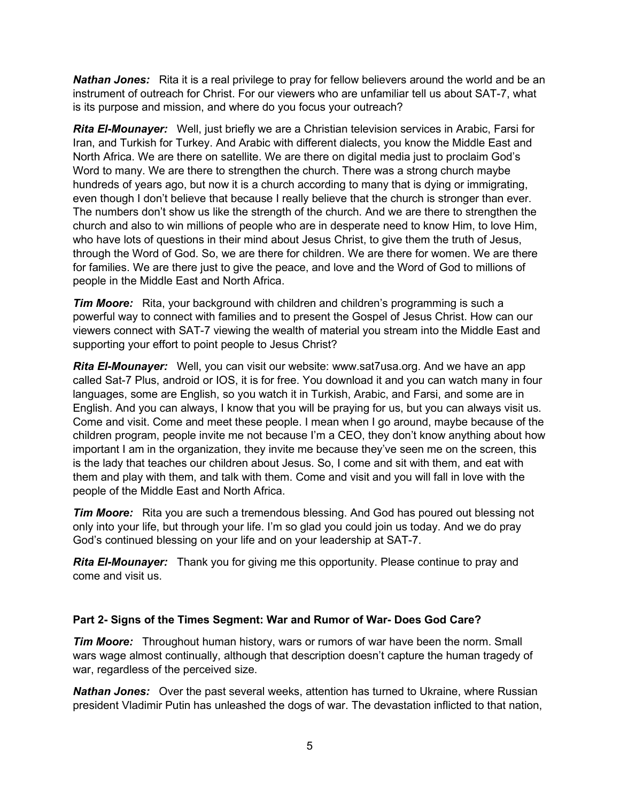**Nathan Jones:** Rita it is a real privilege to pray for fellow believers around the world and be an instrument of outreach for Christ. For our viewers who are unfamiliar tell us about SAT-7, what is its purpose and mission, and where do you focus your outreach?

*Rita El-Mounayer:* Well, just briefly we are a Christian television services in Arabic, Farsi for Iran, and Turkish for Turkey. And Arabic with different dialects, you know the Middle East and North Africa. We are there on satellite. We are there on digital media just to proclaim God's Word to many. We are there to strengthen the church. There was a strong church maybe hundreds of years ago, but now it is a church according to many that is dying or immigrating, even though I don't believe that because I really believe that the church is stronger than ever. The numbers don't show us like the strength of the church. And we are there to strengthen the church and also to win millions of people who are in desperate need to know Him, to love Him, who have lots of questions in their mind about Jesus Christ, to give them the truth of Jesus, through the Word of God. So, we are there for children. We are there for women. We are there for families. We are there just to give the peace, and love and the Word of God to millions of people in the Middle East and North Africa.

*Tim Moore:* Rita, your background with children and children's programming is such a powerful way to connect with families and to present the Gospel of Jesus Christ. How can our viewers connect with SAT-7 viewing the wealth of material you stream into the Middle East and supporting your effort to point people to Jesus Christ?

*Rita El-Mounayer:* Well, you can visit our website: www.sat7usa.org. And we have an app called Sat-7 Plus, android or IOS, it is for free. You download it and you can watch many in four languages, some are English, so you watch it in Turkish, Arabic, and Farsi, and some are in English. And you can always, I know that you will be praying for us, but you can always visit us. Come and visit. Come and meet these people. I mean when I go around, maybe because of the children program, people invite me not because I'm a CEO, they don't know anything about how important I am in the organization, they invite me because they've seen me on the screen, this is the lady that teaches our children about Jesus. So, I come and sit with them, and eat with them and play with them, and talk with them. Come and visit and you will fall in love with the people of the Middle East and North Africa.

*Tim Moore:* Rita you are such a tremendous blessing. And God has poured out blessing not only into your life, but through your life. I'm so glad you could join us today. And we do pray God's continued blessing on your life and on your leadership at SAT-7.

*Rita El-Mounayer:* Thank you for giving me this opportunity. Please continue to pray and come and visit us.

#### **Part 2- Signs of the Times Segment: War and Rumor of War- Does God Care?**

*Tim Moore:* Throughout human history, wars or rumors of war have been the norm. Small wars wage almost continually, although that description doesn't capture the human tragedy of war, regardless of the perceived size.

*Nathan Jones:* Over the past several weeks, attention has turned to Ukraine, where Russian president Vladimir Putin has unleashed the dogs of war. The devastation inflicted to that nation,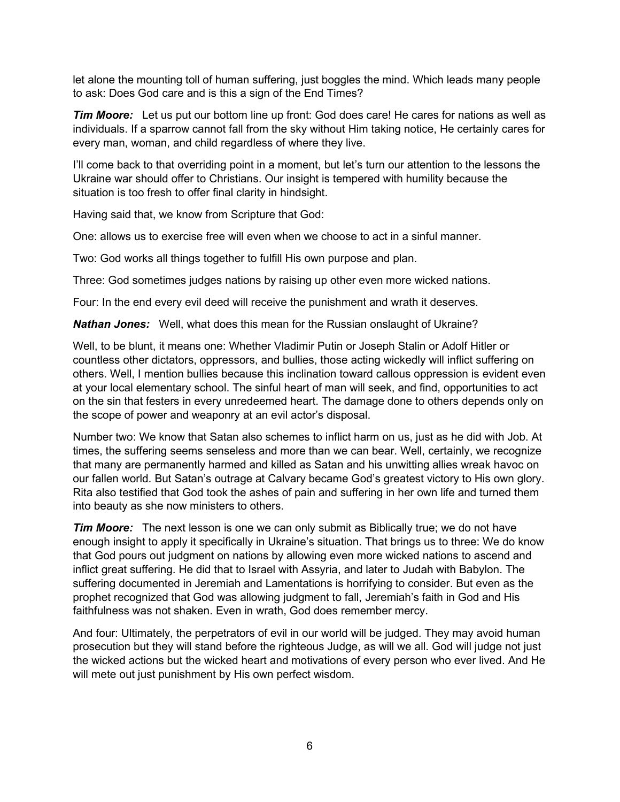let alone the mounting toll of human suffering, just boggles the mind. Which leads many people to ask: Does God care and is this a sign of the End Times?

*Tim Moore:* Let us put our bottom line up front: God does care! He cares for nations as well as individuals. If a sparrow cannot fall from the sky without Him taking notice, He certainly cares for every man, woman, and child regardless of where they live.

I'll come back to that overriding point in a moment, but let's turn our attention to the lessons the Ukraine war should offer to Christians. Our insight is tempered with humility because the situation is too fresh to offer final clarity in hindsight.

Having said that, we know from Scripture that God:

One: allows us to exercise free will even when we choose to act in a sinful manner.

Two: God works all things together to fulfill His own purpose and plan.

Three: God sometimes judges nations by raising up other even more wicked nations.

Four: In the end every evil deed will receive the punishment and wrath it deserves.

*Nathan Jones:* Well, what does this mean for the Russian onslaught of Ukraine?

Well, to be blunt, it means one: Whether Vladimir Putin or Joseph Stalin or Adolf Hitler or countless other dictators, oppressors, and bullies, those acting wickedly will inflict suffering on others. Well, I mention bullies because this inclination toward callous oppression is evident even at your local elementary school. The sinful heart of man will seek, and find, opportunities to act on the sin that festers in every unredeemed heart. The damage done to others depends only on the scope of power and weaponry at an evil actor's disposal.

Number two: We know that Satan also schemes to inflict harm on us, just as he did with Job. At times, the suffering seems senseless and more than we can bear. Well, certainly, we recognize that many are permanently harmed and killed as Satan and his unwitting allies wreak havoc on our fallen world. But Satan's outrage at Calvary became God's greatest victory to His own glory. Rita also testified that God took the ashes of pain and suffering in her own life and turned them into beauty as she now ministers to others.

*Tim Moore:* The next lesson is one we can only submit as Biblically true; we do not have enough insight to apply it specifically in Ukraine's situation. That brings us to three: We do know that God pours out judgment on nations by allowing even more wicked nations to ascend and inflict great suffering. He did that to Israel with Assyria, and later to Judah with Babylon. The suffering documented in Jeremiah and Lamentations is horrifying to consider. But even as the prophet recognized that God was allowing judgment to fall, Jeremiah's faith in God and His faithfulness was not shaken. Even in wrath, God does remember mercy.

And four: Ultimately, the perpetrators of evil in our world will be judged. They may avoid human prosecution but they will stand before the righteous Judge, as will we all. God will judge not just the wicked actions but the wicked heart and motivations of every person who ever lived. And He will mete out just punishment by His own perfect wisdom.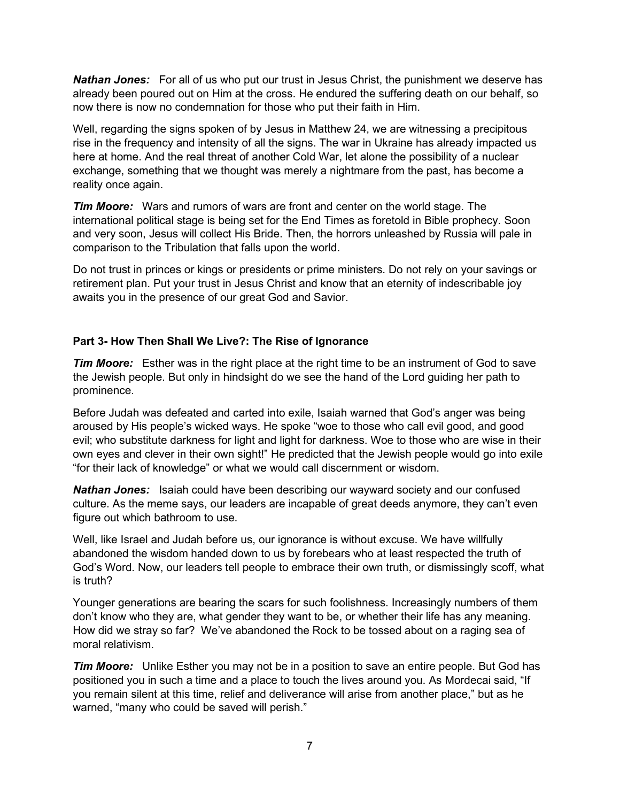**Nathan Jones:** For all of us who put our trust in Jesus Christ, the punishment we deserve has already been poured out on Him at the cross. He endured the suffering death on our behalf, so now there is now no condemnation for those who put their faith in Him.

Well, regarding the signs spoken of by Jesus in Matthew 24, we are witnessing a precipitous rise in the frequency and intensity of all the signs. The war in Ukraine has already impacted us here at home. And the real threat of another Cold War, let alone the possibility of a nuclear exchange, something that we thought was merely a nightmare from the past, has become a reality once again.

*Tim Moore:* Wars and rumors of wars are front and center on the world stage. The international political stage is being set for the End Times as foretold in Bible prophecy. Soon and very soon, Jesus will collect His Bride. Then, the horrors unleashed by Russia will pale in comparison to the Tribulation that falls upon the world.

Do not trust in princes or kings or presidents or prime ministers. Do not rely on your savings or retirement plan. Put your trust in Jesus Christ and know that an eternity of indescribable joy awaits you in the presence of our great God and Savior.

#### **Part 3- How Then Shall We Live?: The Rise of Ignorance**

*Tim Moore:* Esther was in the right place at the right time to be an instrument of God to save the Jewish people. But only in hindsight do we see the hand of the Lord guiding her path to prominence.

Before Judah was defeated and carted into exile, Isaiah warned that God's anger was being aroused by His people's wicked ways. He spoke "woe to those who call evil good, and good evil; who substitute darkness for light and light for darkness. Woe to those who are wise in their own eyes and clever in their own sight!" He predicted that the Jewish people would go into exile "for their lack of knowledge" or what we would call discernment or wisdom.

*Nathan Jones:* Isaiah could have been describing our wayward society and our confused culture. As the meme says, our leaders are incapable of great deeds anymore, they can't even figure out which bathroom to use.

Well, like Israel and Judah before us, our ignorance is without excuse. We have willfully abandoned the wisdom handed down to us by forebears who at least respected the truth of God's Word. Now, our leaders tell people to embrace their own truth, or dismissingly scoff, what is truth?

Younger generations are bearing the scars for such foolishness. Increasingly numbers of them don't know who they are, what gender they want to be, or whether their life has any meaning. How did we stray so far? We've abandoned the Rock to be tossed about on a raging sea of moral relativism.

*Tim Moore:* Unlike Esther you may not be in a position to save an entire people. But God has positioned you in such a time and a place to touch the lives around you. As Mordecai said, "If you remain silent at this time, relief and deliverance will arise from another place," but as he warned, "many who could be saved will perish."